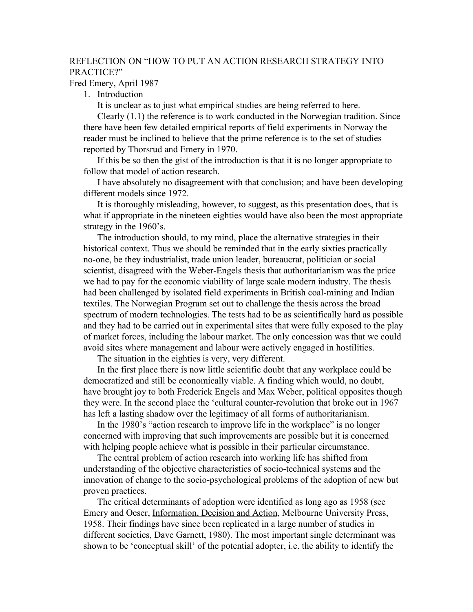## REFLECTION ON "HOW TO PUT AN ACTION RESEARCH STRATEGY INTO PRACTICE?"

Fred Emery, April 1987

1. Introduction

It is unclear as to just what empirical studies are being referred to here.

Clearly (1.1) the reference is to work conducted in the Norwegian tradition. Since there have been few detailed empirical reports of field experiments in Norway the reader must be inclined to believe that the prime reference is to the set of studies reported by Thorsrud and Emery in 1970.

If this be so then the gist of the introduction is that it is no longer appropriate to follow that model of action research.

I have absolutely no disagreement with that conclusion; and have been developing different models since 1972.

It is thoroughly misleading, however, to suggest, as this presentation does, that is what if appropriate in the nineteen eighties would have also been the most appropriate strategy in the 1960's.

The introduction should, to my mind, place the alternative strategies in their historical context. Thus we should be reminded that in the early sixties practically no-one, be they industrialist, trade union leader, bureaucrat, politician or social scientist, disagreed with the Weber-Engels thesis that authoritarianism was the price we had to pay for the economic viability of large scale modern industry. The thesis had been challenged by isolated field experiments in British coal-mining and Indian textiles. The Norwegian Program set out to challenge the thesis across the broad spectrum of modern technologies. The tests had to be as scientifically hard as possible and they had to be carried out in experimental sites that were fully exposed to the play of market forces, including the labour market. The only concession was that we could avoid sites where management and labour were actively engaged in hostilities.

The situation in the eighties is very, very different.

In the first place there is now little scientific doubt that any workplace could be democratized and still be economically viable. A finding which would, no doubt, have brought joy to both Frederick Engels and Max Weber, political opposites though they were. In the second place the 'cultural counter-revolution that broke out in 1967 has left a lasting shadow over the legitimacy of all forms of authoritarianism.

In the 1980's "action research to improve life in the workplace" is no longer concerned with improving that such improvements are possible but it is concerned with helping people achieve what is possible in their particular circumstance.

The central problem of action research into working life has shifted from understanding of the objective characteristics of socio-technical systems and the innovation of change to the socio-psychological problems of the adoption of new but proven practices.

The critical determinants of adoption were identified as long ago as 1958 (see Emery and Oeser, Information, Decision and Action, Melbourne University Press, 1958. Their findings have since been replicated in a large number of studies in different societies, Dave Garnett, 1980). The most important single determinant was shown to be 'conceptual skill' of the potential adopter, i.e. the ability to identify the